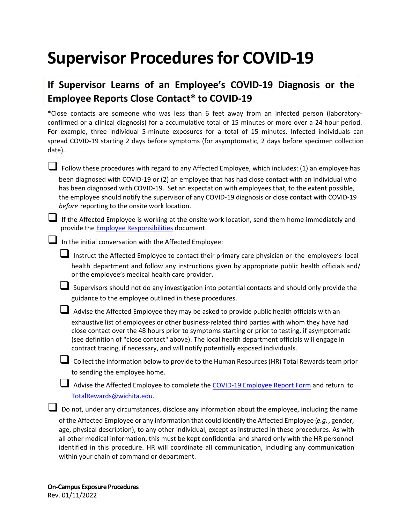## **Supervisor Procedures for COVID-19**

## **If Supervisor Learns of an Employee's COVID-19 Diagnosis or the Employee Reports Close Contact\* to COVID-19**

\*Close contacts are someone who was less than 6 feet away from an infected person (laboratoryconfirmed or a clinical diagnosis) for a accumulative total of 15 minutes or more over a 24-hour period. For example, three individual 5-minute exposures for a total of 15 minutes. Infected individuals can spread COVID-19 starting 2 days before symptoms (for asymptomatic, 2 days before specimen collection date).

 Follow these procedures with regard to any Affected Employee, which includes: (1) an employee has been diagnosed with COVID-19 or (2) an employee that has had close contact with an individual who has been diagnosed with COVID-19. Set an expectation with employees that, to the extent possible, the employee should notify the supervisor of any COVID-19 diagnosis or close contact with COVID-19 *before* reporting to the onsite work location.

If the Affected Employee is working at the onsite work location, send them home immediately and provide the Employee [Responsibilities](https://www.wichita.edu/services/humanresources/Total_Rewards/docs/Employee_Procedures_for_COVID-19.pdf) document.

 $\Box$  In the initial conversation with the Affected Employee:

 Instruct the Affected Employee to contact their primary care physician <sup>o</sup><sup>r</sup> the employee's local health department and follow any instructions given by appropriate public health officials and/ or the employee's medical health care provider.

Supervisors should not do any investigation into potential contacts and should only provide the guidance to the employee outlined in these procedures.

 Advise the Affected Employee they may be asked to provide public health officials with an exhaustive list of employees or other business-related third parties with whom they have had close contact over the 48 hours prior to symptoms starting or prior to testing, if asymptomatic (see definition of "close contact" above). The local health department officials will engage in contract tracing, if necessary, and will notify potentially exposed individuals.

 Collect the information below to provide to the Human Resources (HR) Total Rewards team prior to sending the employee home.

Advise the Affected Employee to complete the [COVID-19 Employee Report Form](https://www.wichita.edu/about/COVID-19/_documents/COVID-19_Employee_Report.pdf) and return to [TotalRewards@wichita.edu.](mailto: totalrewards@wichita.edu)

Do not, under any circumstances, disclose any information about the employee, including the name of the Affected Employee or any information that could identify the Affected Employee (*e.g.*, gender, age, physical description), to any other individual, except as instructed in these procedures. As with all other medical information, this must be kept confidential and shared only with the HR personnel identified in this procedure. HR will coordinate all communication, including any communication within your chain of command or department.